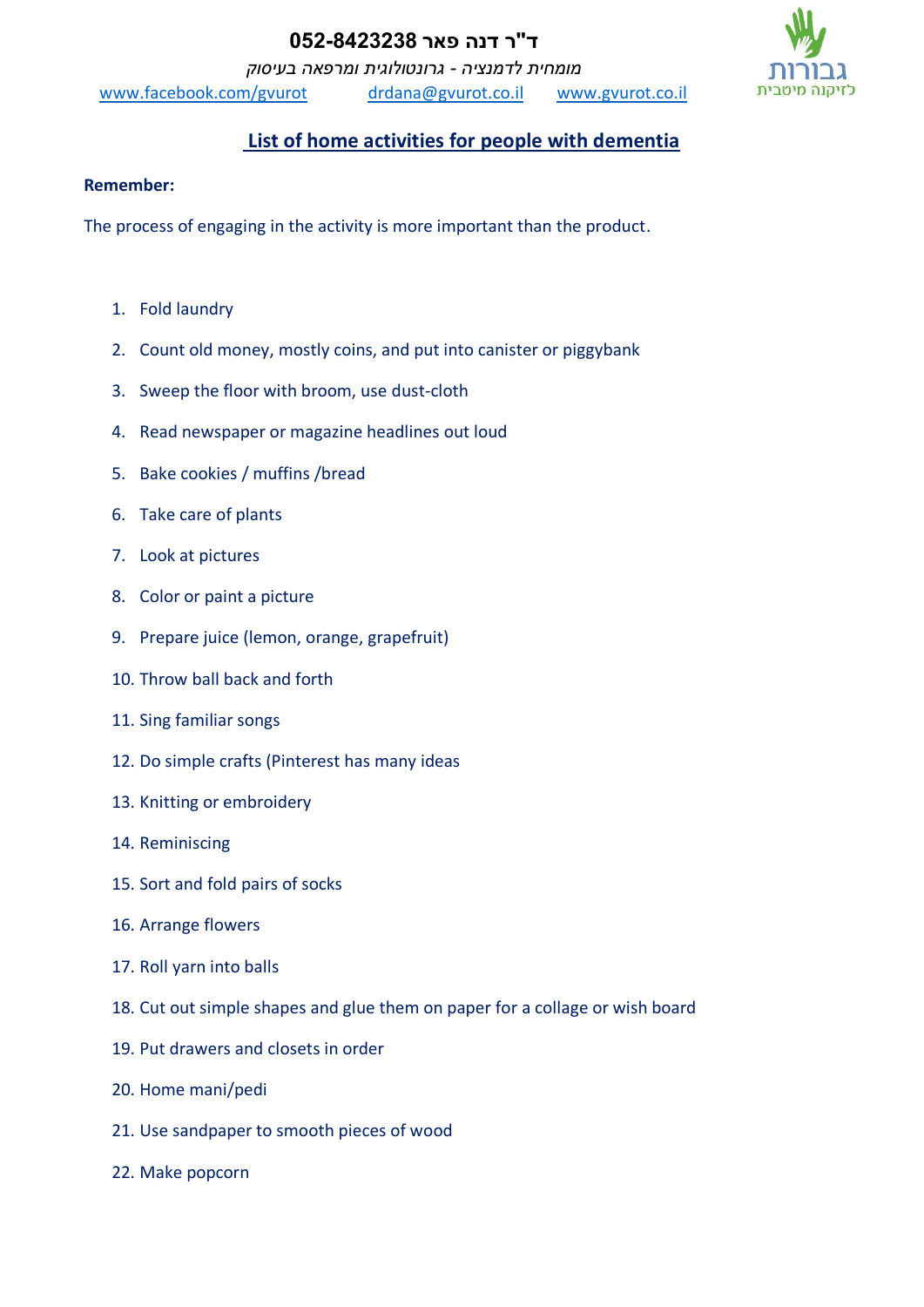## **ד"ר דנה פאר 052-8423238**

*מומחית לדמנציה - גרונטולוגית ומרפאה בעיסוק*

[www.facebook.com/gvurot](http://www.facebook.com/gvurot) [drdana@gvurot.co.il](mailto:drdana@gvurot.co.il) [www.gvurot.co.il](http://www.gvurot.co.il/)



## **List of home activities for people with dementia**

## **Remember:**

The process of engaging in the activity is more important than the product.

- 1. Fold laundry
- 2. Count old money, mostly coins, and put into canister or piggybank
- 3. Sweep the floor with broom, use dust-cloth
- 4. Read newspaper or magazine headlines out loud
- 5. Bake cookies / muffins /bread
- 6. Take care of plants
- 7. Look at pictures
- 8. Color or paint a picture
- 9. Prepare juice (lemon, orange, grapefruit)
- 10. Throw ball back and forth
- 11. Sing familiar songs
- 12. Do simple crafts (Pinterest has many ideas
- 13. Knitting or embroidery
- 14. Reminiscing
- 15. Sort and fold pairs of socks
- 16. Arrange flowers
- 17. Roll yarn into balls
- 18. Cut out simple shapes and glue them on paper for a collage or wish board
- 19. Put drawers and closets in order
- 20. Home mani/pedi
- 21. Use sandpaper to smooth pieces of wood
- 22. Make popcorn